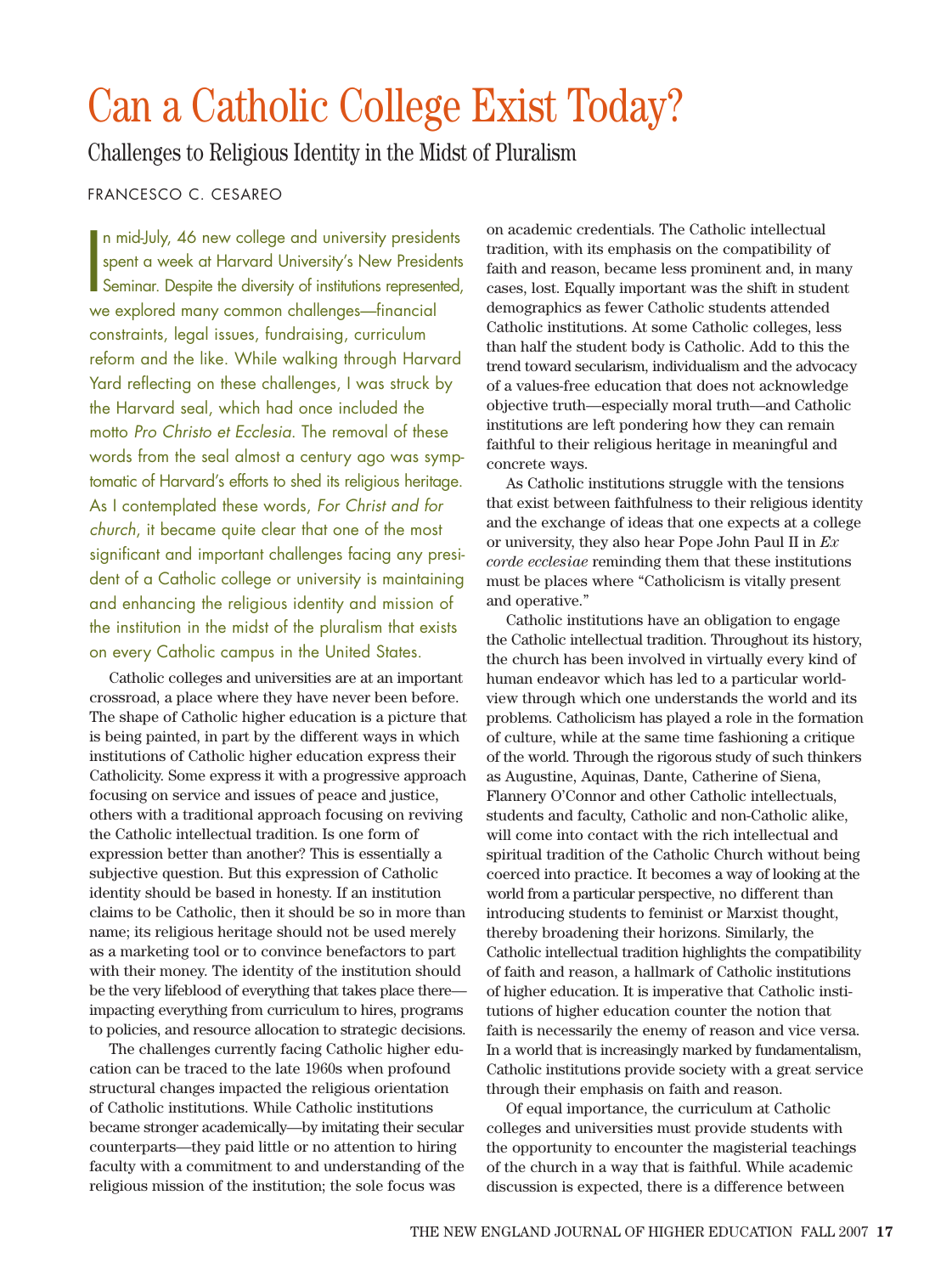## Can a Catholic College Exist Today?

Challenges to Religious Identity in the Midst of Pluralism

## FRANCESCO C. CESAREO

**I** n mid-July, 46 new college and university presidents spent a week at Harvard University's New Presidents Seminar. Despite the diversity of institutions represented, we explored many common challenges—financial constraints, legal issues, fundraising, curriculum reform and the like. While walking through Harvard Yard reflecting on these challenges, I was struck by the Harvard seal, which had once included the motto *Pro Christo et Ecclesia*. The removal of these words from the seal almost a century ago was symptomatic of Harvard's efforts to shed its religious heritage. As I contemplated these words, *For Christ and for church*, it became quite clear that one of the most significant and important challenges facing any president of a Catholic college or university is maintaining and enhancing the religious identity and mission of the institution in the midst of the pluralism that exists on every Catholic campus in the United States.

Catholic colleges and universities are at an important crossroad, a place where they have never been before. The shape of Catholic higher education is a picture that is being painted, in part by the different ways in which institutions of Catholic higher education express their Catholicity. Some express it with a progressive approach focusing on service and issues of peace and justice, others with a traditional approach focusing on reviving the Catholic intellectual tradition. Is one form of expression better than another? This is essentially a subjective question. But this expression of Catholic identity should be based in honesty. If an institution claims to be Catholic, then it should be so in more than name; its religious heritage should not be used merely as a marketing tool or to convince benefactors to part with their money. The identity of the institution should be the very lifeblood of everything that takes place there impacting everything from curriculum to hires, programs to policies, and resource allocation to strategic decisions.

The challenges currently facing Catholic higher education can be traced to the late 1960s when profound structural changes impacted the religious orientation of Catholic institutions. While Catholic institutions became stronger academically—by imitating their secular counterparts—they paid little or no attention to hiring faculty with a commitment to and understanding of the religious mission of the institution; the sole focus was

on academic credentials. The Catholic intellectual tradition, with its emphasis on the compatibility of faith and reason, became less prominent and, in many cases, lost. Equally important was the shift in student demographics as fewer Catholic students attended Catholic institutions. At some Catholic colleges, less than half the student body is Catholic. Add to this the trend toward secularism, individualism and the advocacy of a values-free education that does not acknowledge objective truth—especially moral truth—and Catholic institutions are left pondering how they can remain faithful to their religious heritage in meaningful and concrete ways.

As Catholic institutions struggle with the tensions that exist between faithfulness to their religious identity and the exchange of ideas that one expects at a college or university, they also hear Pope John Paul II in *Ex corde ecclesiae* reminding them that these institutions must be places where "Catholicism is vitally present and operative."

Catholic institutions have an obligation to engage the Catholic intellectual tradition. Throughout its history, the church has been involved in virtually every kind of human endeavor which has led to a particular worldview through which one understands the world and its problems. Catholicism has played a role in the formation of culture, while at the same time fashioning a critique of the world. Through the rigorous study of such thinkers as Augustine, Aquinas, Dante, Catherine of Siena, Flannery O'Connor and other Catholic intellectuals, students and faculty, Catholic and non-Catholic alike, will come into contact with the rich intellectual and spiritual tradition of the Catholic Church without being coerced into practice. It becomes a way of looking at the world from a particular perspective, no different than introducing students to feminist or Marxist thought, thereby broadening their horizons. Similarly, the Catholic intellectual tradition highlights the compatibility of faith and reason, a hallmark of Catholic institutions of higher education. It is imperative that Catholic institutions of higher education counter the notion that faith is necessarily the enemy of reason and vice versa. In a world that is increasingly marked by fundamentalism, Catholic institutions provide society with a great service through their emphasis on faith and reason.

Of equal importance, the curriculum at Catholic colleges and universities must provide students with the opportunity to encounter the magisterial teachings of the church in a way that is faithful. While academic discussion is expected, there is a difference between